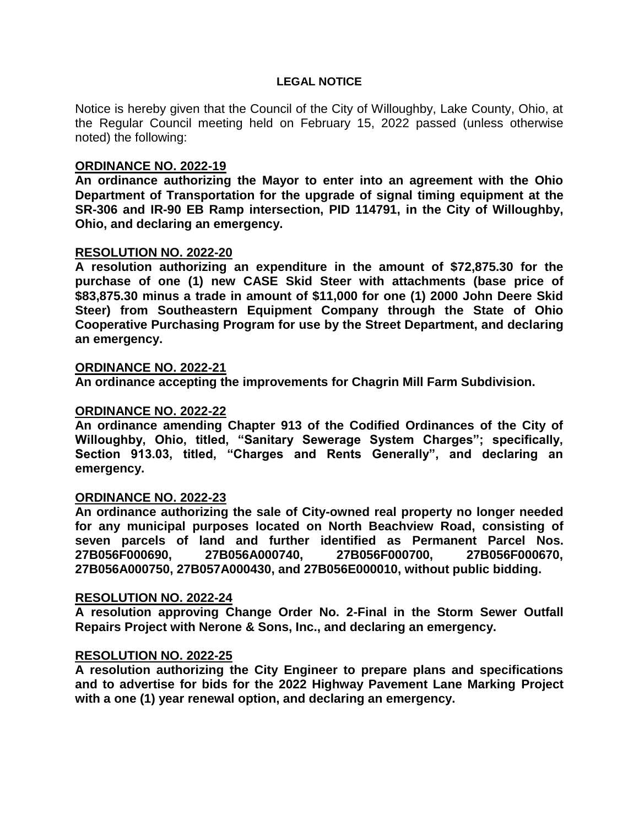## **LEGAL NOTICE**

Notice is hereby given that the Council of the City of Willoughby, Lake County, Ohio, at the Regular Council meeting held on February 15, 2022 passed (unless otherwise noted) the following:

# **ORDINANCE NO. 2022-19**

**An ordinance authorizing the Mayor to enter into an agreement with the Ohio Department of Transportation for the upgrade of signal timing equipment at the SR-306 and IR-90 EB Ramp intersection, PID 114791, in the City of Willoughby, Ohio, and declaring an emergency.**

## **RESOLUTION NO. 2022-20**

**A resolution authorizing an expenditure in the amount of \$72,875.30 for the purchase of one (1) new CASE Skid Steer with attachments (base price of \$83,875.30 minus a trade in amount of \$11,000 for one (1) 2000 John Deere Skid Steer) from Southeastern Equipment Company through the State of Ohio Cooperative Purchasing Program for use by the Street Department, and declaring an emergency.**

### **ORDINANCE NO. 2022-21**

**An ordinance accepting the improvements for Chagrin Mill Farm Subdivision.**

# **ORDINANCE NO. 2022-22**

**An ordinance amending Chapter 913 of the Codified Ordinances of the City of Willoughby, Ohio, titled, "Sanitary Sewerage System Charges"; specifically, Section 913.03, titled, "Charges and Rents Generally", and declaring an emergency.**

### **ORDINANCE NO. 2022-23**

**An ordinance authorizing the sale of City-owned real property no longer needed for any municipal purposes located on North Beachview Road, consisting of seven parcels of land and further identified as Permanent Parcel Nos. 27B056F000690, 27B056A000740, 27B056F000700, 27B056F000670, 27B056A000750, 27B057A000430, and 27B056E000010, without public bidding.**

### **RESOLUTION NO. 2022-24**

**A resolution approving Change Order No. 2-Final in the Storm Sewer Outfall Repairs Project with Nerone & Sons, Inc., and declaring an emergency.**

## **RESOLUTION NO. 2022-25**

**A resolution authorizing the City Engineer to prepare plans and specifications and to advertise for bids for the 2022 Highway Pavement Lane Marking Project with a one (1) year renewal option, and declaring an emergency.**